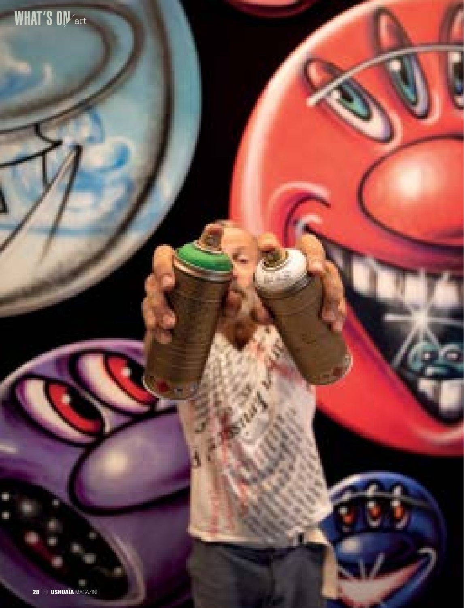# **WHAT'S ON** art

ň

۸

۰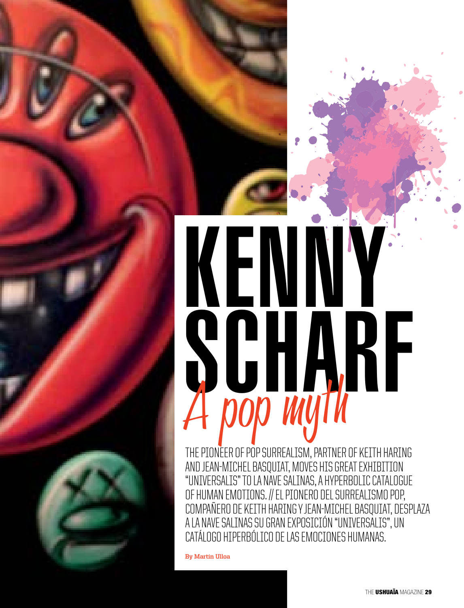# KENNY SCHARF<br>A pop myth

The pioneer of pop surrealism, partner of Keith Haring and Jean-Michel Basquiat, moves his great exhibition "UNIVERSALIS" to La Nave Salinas, a hyperbolic catalogue of human emotions. // El pionero del surrealismo pop, compañero de Keith Haring y Jean-Michel Basquiat, desplaza a la nave salinas su gran exposición "UNIVERSALIS", un catálogo hiperbólico de las emociones humanas.

**By Martín Ulloa**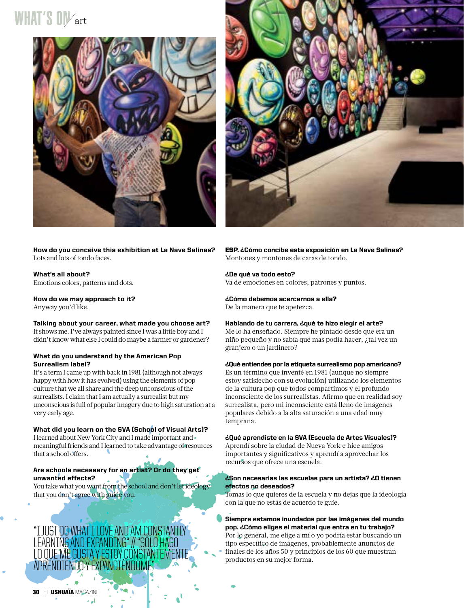# WHAT'S O $V_{\rm art}$





How do you conceive this exhibition at La Nave Salinas? Lots and lots of tondo faces.

What's all about? Emotions colors, patterns and dots.

How do we may approach to it? Anyway you'd like.

### Talking about your career, what made you choose art?

It shows me. I've always painted since I was a little boy and I didn't know what else I could do maybe a farmer or gardener?

### What do you understand by the American Pop Surrealism label?

It's a term I came up with back in 1981 (although not always happy with how it has evolved) using the elements of pop culture that we all share and the deep unconscious of the surrealists. I claim that I am actually a surrealist but my unconscious is full of popular imagery due to high saturation at a very early age.

### What did you learn on the SVA (School of Visual Arts)?

I learned about New York City and I made important and  $\cdot$ meaningful friends and I learned to take advantage of resources that a school offers.

### Are schools necessary for an artist? Or do they get unwanted effects?

You take what you want from the school and don't let ideology that you don't agree with guide you.

## "I JUST DO WHAT I LOVE AND AM CONSTANTLY learning and expanding" // "sólo hago LO QUE ME GUSTA Y ESTOY CONSTANTEME aprendiendo y expandiéndome"

ESP. ¿Cómo concibe esta exposición en La Nave Salinas? Montones y montones de caras de tondo.

### ¿De qué va todo esto?

Va de emociones en colores, patrones y puntos.

¿Cómo debemos acercarnos a ella? De la manera que te apetezca.

### Hablando de tu carrera, ¿qué te hizo elegir el arte?

Me lo ha enseñado. Siempre he pintado desde que era un niño pequeño y no sabía qué más podía hacer, ¿tal vez un granjero o un jardinero?

### ¿Qué entiendes por la etiqueta surrealismo pop americano?

Es un término que inventé en 1981 (aunque no siempre estoy satisfecho con su evolución) utilizando los elementos de la cultura pop que todos compartimos y el profundo inconsciente de los surrealistas. Afirmo que en realidad soy surrealista, pero mi inconsciente está lleno de imágenes populares debido a la alta saturación a una edad muy temprana.

¿Qué aprendiste en la SVA (Escuela de Artes Visuales)? Aprendí sobre la ciudad de Nueva York e hice amigos importantes y significativos y aprendí a aprovechar los recursos que ofrece una escuela.

### ¿Son necesarias las escuelas para un artista? ¿O tienen efectos no deseados?

Tomas lo que quieres de la escuela y no dejas que la ideología con la que no estás de acuerdo te guíe.

Siempre estamos inundados por las imágenes del mundo pop. ¿Cómo eliges el material que entra en tu trabajo?

Por lo general, me elige a mí o yo podría estar buscando un tipo específico de imágenes, probablemente anuncios de finales de los años 50 y principios de los 60 que muestran productos en su mejor forma.